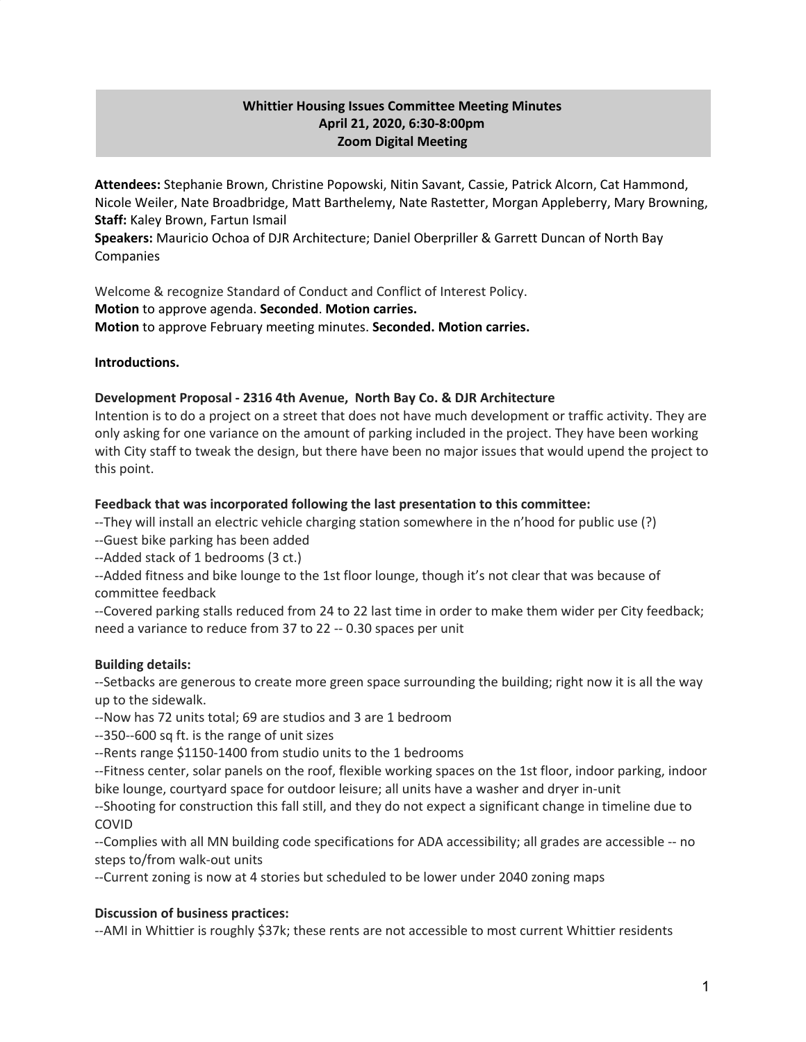# **Whittier Housing Issues Committee Meeting Minutes April 21, 2020, 6:30-8:00pm Zoom Digital Meeting**

**Attendees:** Stephanie Brown, Christine Popowski, Nitin Savant, Cassie, Patrick Alcorn, Cat Hammond, Nicole Weiler, Nate Broadbridge, Matt Barthelemy, Nate Rastetter, Morgan Appleberry, Mary Browning, **Staff:** Kaley Brown, Fartun Ismail

**Speakers:** Mauricio Ochoa of DJR Architecture; Daniel Oberpriller & Garrett Duncan of North Bay Companies

Welcome & recognize Standard of Conduct and Conflict of Interest Policy. **Motion** to approve agenda. **Seconded**. **Motion carries. Motion** to approve February meeting minutes. **Seconded. Motion carries.**

### **Introductions.**

## **Development Proposal - 2316 4th Avenue, North Bay Co. & DJR Architecture**

Intention is to do a project on a street that does not have much development or traffic activity. They are only asking for one variance on the amount of parking included in the project. They have been working with City staff to tweak the design, but there have been no major issues that would upend the project to this point.

### **Feedback that was incorporated following the last presentation to this committee:**

--They will install an electric vehicle charging station somewhere in the n'hood for public use (?)

--Guest bike parking has been added

--Added stack of 1 bedrooms (3 ct.)

--Added fitness and bike lounge to the 1st floor lounge, though it's not clear that was because of committee feedback

--Covered parking stalls reduced from 24 to 22 last time in order to make them wider per City feedback; need a variance to reduce from 37 to 22 -- 0.30 spaces per unit

### **Building details:**

--Setbacks are generous to create more green space surrounding the building; right now it is all the way up to the sidewalk.

--Now has 72 units total; 69 are studios and 3 are 1 bedroom

--350--600 sq ft. is the range of unit sizes

--Rents range \$1150-1400 from studio units to the 1 bedrooms

--Fitness center, solar panels on the roof, flexible working spaces on the 1st floor, indoor parking, indoor bike lounge, courtyard space for outdoor leisure; all units have a washer and dryer in-unit

--Shooting for construction this fall still, and they do not expect a significant change in timeline due to COVID

--Complies with all MN building code specifications for ADA accessibility; all grades are accessible -- no steps to/from walk-out units

--Current zoning is now at 4 stories but scheduled to be lower under 2040 zoning maps

### **Discussion of business practices:**

--AMI in Whittier is roughly \$37k; these rents are not accessible to most current Whittier residents